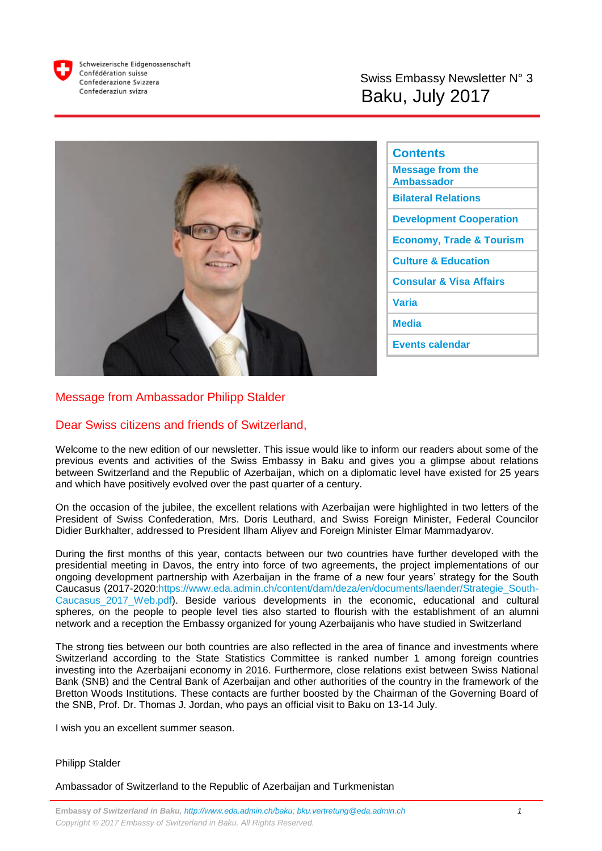



| <b>Contents</b>                              |
|----------------------------------------------|
| <b>Message from the</b><br><b>Ambassador</b> |
| <b>Bilateral Relations</b>                   |
| <b>Development Cooperation</b>               |
| <b>Economy, Trade &amp; Tourism</b>          |
| <b>Culture &amp; Education</b>               |
| <b>Consular &amp; Visa Affairs</b>           |
| Varia                                        |
| Media                                        |
| <b>Events calendar</b>                       |

## Message from Ambassador Philipp Stalder

## Dear Swiss citizens and friends of Switzerland,

Welcome to the new edition of our newsletter. This issue would like to inform our readers about some of the previous events and activities of the Swiss Embassy in Baku and gives you a glimpse about relations between Switzerland and the Republic of Azerbaijan, which on a diplomatic level have existed for 25 years and which have positively evolved over the past quarter of a century.

On the occasion of the jubilee, the excellent relations with Azerbaijan were highlighted in two letters of the President of Swiss Confederation, Mrs. Doris Leuthard, and Swiss Foreign Minister, Federal Councilor Didier Burkhalter, addressed to President Ilham Aliyev and Foreign Minister Elmar Mammadyarov.

During the first months of this year, contacts between our two countries have further developed with the presidential meeting in Davos, the entry into force of two agreements, the project implementations of our ongoing development partnership with Azerbaijan in the frame of a new four years' strategy for the South Caucasus (2017-2020[:https://www.eda.admin.ch/content/dam/deza/en/documents/laender/Strategie\\_South-](https://www.eda.admin.ch/content/dam/deza/en/documents/laender/Strategie_South-Caucasus_2017_Web.pdf)[Caucasus\\_2017\\_Web.pdf\)](https://www.eda.admin.ch/content/dam/deza/en/documents/laender/Strategie_South-Caucasus_2017_Web.pdf). Beside various developments in the economic, educational and cultural spheres, on the people to people level ties also started to flourish with the establishment of an alumni network and a reception the Embassy organized for young Azerbaijanis who have studied in Switzerland

The strong ties between our both countries are also reflected in the area of finance and investments where Switzerland according to the State Statistics Committee is ranked number 1 among foreign countries investing into the Azerbaijani economy in 2016. Furthermore, close relations exist between Swiss National Bank (SNB) and the Central Bank of Azerbaijan and other authorities of the country in the framework of the Bretton Woods Institutions. These contacts are further boosted by the Chairman of the Governing Board of the SNB, Prof. Dr. Thomas J. Jordan, who pays an official visit to Baku on 13-14 July.

I wish you an excellent summer season.

#### Philipp Stalder

Ambassador of Switzerland to the Republic of Azerbaijan and Turkmenistan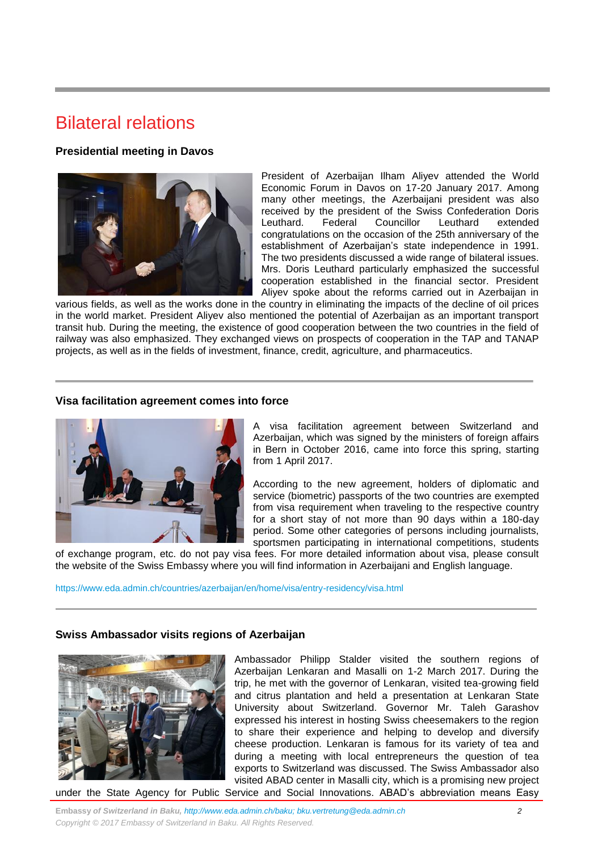## <span id="page-1-0"></span>Bilateral relations

## **Presidential meeting in Davos**



President of Azerbaijan Ilham Aliyev attended the World Economic Forum in Davos on 17-20 January 2017. Among many other meetings, the Azerbaijani president was also received by the president of the Swiss Confederation Doris<br>Leuthard. Federal Councillor Leuthard extended Leuthard. Federal Councillor Leuthard extended congratulations on the occasion of the 25th anniversary of the establishment of Azerbaijan's state independence in 1991. The two presidents discussed a wide range of bilateral issues. Mrs. Doris Leuthard particularly emphasized the successful cooperation established in the financial sector. President Aliyev spoke about the reforms carried out in Azerbaijan in

various fields, as well as the works done in the country in eliminating the impacts of the decline of oil prices in the world market. President Aliyev also mentioned the potential of Azerbaijan as an important transport transit hub. During the meeting, the existence of good cooperation between the two countries in the field of railway was also emphasized. They exchanged views on prospects of cooperation in the TAP and TANAP projects, as well as in the fields of investment, finance, credit, agriculture, and pharmaceutics.

#### **Visa facilitation agreement comes into force**



A visa facilitation agreement between Switzerland and Azerbaijan, which was signed by the ministers of foreign affairs in Bern in October 2016, came into force this spring, starting from 1 April 2017.

According to the new agreement, holders of diplomatic and service (biometric) passports of the two countries are exempted from visa requirement when traveling to the respective country for a short stay of not more than 90 days within a 180-day period. Some other categories of persons including journalists, sportsmen participating in international competitions, students

of exchange program, etc. do not pay visa fees. For more detailed information about visa, please consult the website of the Swiss Embassy where you will find information in Azerbaijani and English language.

<https://www.eda.admin.ch/countries/azerbaijan/en/home/visa/entry-residency/visa.html>

#### **Swiss Ambassador visits regions of Azerbaijan**



Ambassador Philipp Stalder visited the southern regions of Azerbaijan Lenkaran and Masalli on 1-2 March 2017. During the trip, he met with the governor of Lenkaran, visited tea-growing field and citrus plantation and held a presentation at Lenkaran State University about Switzerland. Governor Mr. Taleh Garashov expressed his interest in hosting Swiss cheesemakers to the region to share their experience and helping to develop and diversify cheese production. Lenkaran is famous for its variety of tea and during a meeting with local entrepreneurs the question of tea exports to Switzerland was discussed. The Swiss Ambassador also visited ABAD center in Masalli city, which is a promising new project under the State Agency for Public Service and Social Innovations. ABAD's abbreviation means Easy

**Embassy** *of Switzerland in Baku, <http://www.eda.admin.ch/baku;> [bku.vertretung@eda.admin.ch](mailto:bku.vertretung@eda.admin.ch) 2 Copyright © 2017 Embassy of Switzerland in Baku. All Rights Reserved.*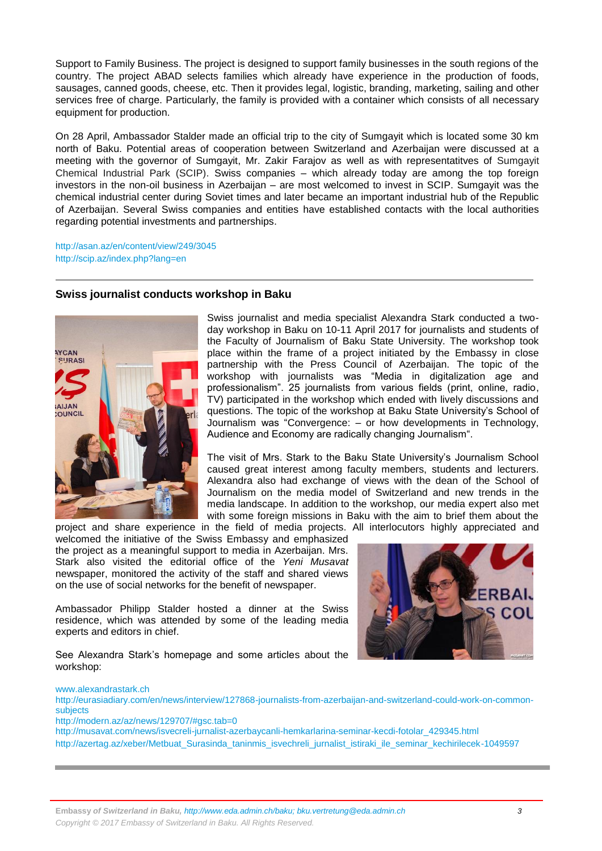Support to Family Business. The project is designed to support family businesses in the south regions of the country. The project ABAD selects families which already have experience in the production of foods, sausages, canned goods, cheese, etc. Then it provides legal, logistic, branding, marketing, sailing and other services free of charge. Particularly, the family is provided with a container which consists of all necessary equipment for production.

On 28 April, Ambassador Stalder made an official trip to the city of Sumgayit which is located some 30 km north of Baku. Potential areas of cooperation between Switzerland and Azerbaijan were discussed at a meeting with the governor of Sumgayit, Mr. Zakir Farajov as well as with representatitves of Sumgayit Chemical Industrial Park (SCIP). Swiss companies – which already today are among the top foreign investors in the non-oil business in Azerbaijan – are most welcomed to invest in SCIP. Sumgayit was the chemical industrial center during Soviet times and later became an important industrial hub of the Republic of Azerbaijan. Several Swiss companies and entities have established contacts with the local authorities regarding potential investments and partnerships.

<http://asan.az/en/content/view/249/3045> <http://scip.az/index.php?lang=en>

#### **Swiss journalist conducts workshop in Baku**



Swiss journalist and media specialist Alexandra Stark conducted a twoday workshop in Baku on 10-11 April 2017 for journalists and students of the Faculty of Journalism of Baku State University. The workshop took place within the frame of a project initiated by the Embassy in close partnership with the Press Council of Azerbaijan. The topic of the workshop with journalists was "Media in digitalization age and professionalism". 25 journalists from various fields (print, online, radio, TV) participated in the workshop which ended with lively discussions and questions. The topic of the workshop at Baku State University's School of Journalism was "Convergence: – or how developments in Technology, Audience and Economy are radically changing Journalism".

The visit of Mrs. Stark to the Baku State University's Journalism School caused great interest among faculty members, students and lecturers. Alexandra also had exchange of views with the dean of the School of Journalism on the media model of Switzerland and new trends in the media landscape. In addition to the workshop, our media expert also met with some foreign missions in Baku with the aim to brief them about the

project and share experience in the field of media projects. All interlocutors highly appreciated and welcomed the initiative of the Swiss Embassy and emphasized the project as a meaningful support to media in Azerbaijan. Mrs. Stark also visited the editorial office of the *Yeni Musavat* newspaper, monitored the activity of the staff and shared views on the use of social networks for the benefit of newspaper.

Ambassador Philipp Stalder hosted a dinner at the Swiss residence, which was attended by some of the leading media experts and editors in chief.

See Alexandra Stark's homepage and some articles about the workshop:



#### [www.alexandrastark.ch](http://www.alexandrastark.ch/)

[http://eurasiadiary.com/en/news/interview/127868-journalists-from-azerbaijan-and-switzerland-could-work-on-common](http://eurasiadiary.com/en/news/interview/127868-journalists-from-azerbaijan-and-switzerland-could-work-on-common-subjects)[subjects](http://eurasiadiary.com/en/news/interview/127868-journalists-from-azerbaijan-and-switzerland-could-work-on-common-subjects)

<http://modern.az/az/news/129707/#gsc.tab=0>

<span id="page-2-0"></span>[http://musavat.com/news/isvecreli-jurnalist-azerbaycanli-hemkarlarina-seminar-kecdi-fotolar\\_429345.html](http://musavat.com/news/isvecreli-jurnalist-azerbaycanli-hemkarlarina-seminar-kecdi-fotolar_429345.html) [http://azertag.az/xeber/Metbuat\\_Surasinda\\_taninmis\\_isvechreli\\_jurnalist\\_istiraki\\_ile\\_seminar\\_kechirilecek-1049597](http://azertag.az/xeber/Metbuat_Surasinda_taninmis_isvechreli_jurnalist_istiraki_ile_seminar_kechirilecek-1049597)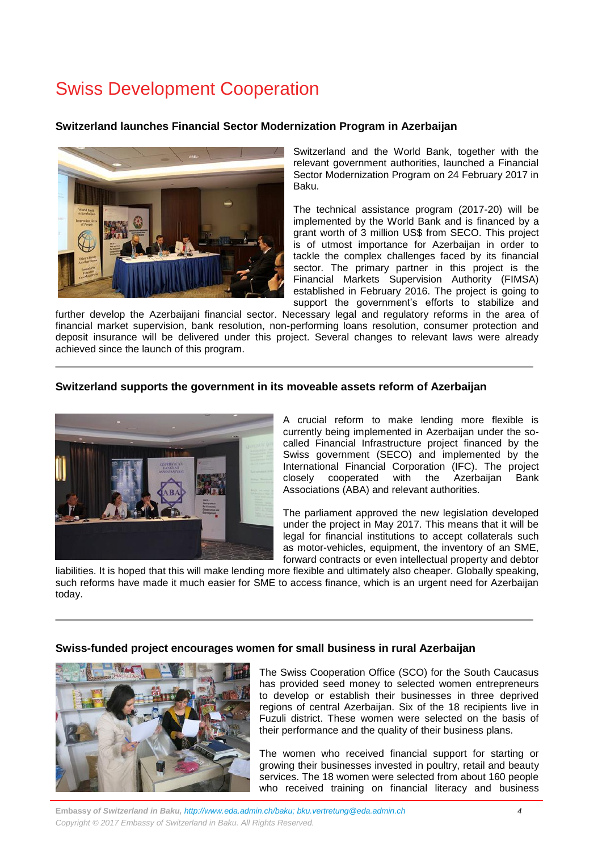# Swiss Development Cooperation

## **Switzerland launches Financial Sector Modernization Program in Azerbaijan**



Switzerland and the World Bank, together with the relevant government authorities, launched a Financial Sector Modernization Program on 24 February 2017 in Baku.

The technical assistance program (2017-20) will be implemented by the World Bank and is financed by a grant worth of 3 million US\$ from SECO. This project is of utmost importance for Azerbaijan in order to tackle the complex challenges faced by its financial sector. The primary partner in this project is the Financial Markets Supervision Authority (FIMSA) established in February 2016. The project is going to support the government's efforts to stabilize and

further develop the Azerbaijani financial sector. Necessary legal and regulatory reforms in the area of financial market supervision, bank resolution, non-performing loans resolution, consumer protection and deposit insurance will be delivered under this project. Several changes to relevant laws were already achieved since the launch of this program.

## **Switzerland supports the government in its moveable assets reform of Azerbaijan**



A crucial reform to make lending more flexible is currently being implemented in Azerbaijan under the socalled Financial Infrastructure project financed by the Swiss government (SECO) and implemented by the International Financial Corporation (IFC). The project closely cooperated with the Azerbaijan Bank Associations (ABA) and relevant authorities.

The parliament approved the new legislation developed under the project in May 2017. This means that it will be legal for financial institutions to accept collaterals such as motor-vehicles, equipment, the inventory of an SME, forward contracts or even intellectual property and debtor

liabilities. It is hoped that this will make lending more flexible and ultimately also cheaper. Globally speaking, such reforms have made it much easier for SME to access finance, which is an urgent need for Azerbaijan today.

#### **Swiss-funded project encourages women for small business in rural Azerbaijan**



The Swiss Cooperation Office (SCO) for the South Caucasus has provided seed money to selected women entrepreneurs to develop or establish their businesses in three deprived regions of central Azerbaijan. Six of the 18 recipients live in Fuzuli district. These women were selected on the basis of their performance and the quality of their business plans.

The women who received financial support for starting or growing their businesses invested in poultry, retail and beauty services. The 18 women were selected from about 160 people who received training on financial literacy and business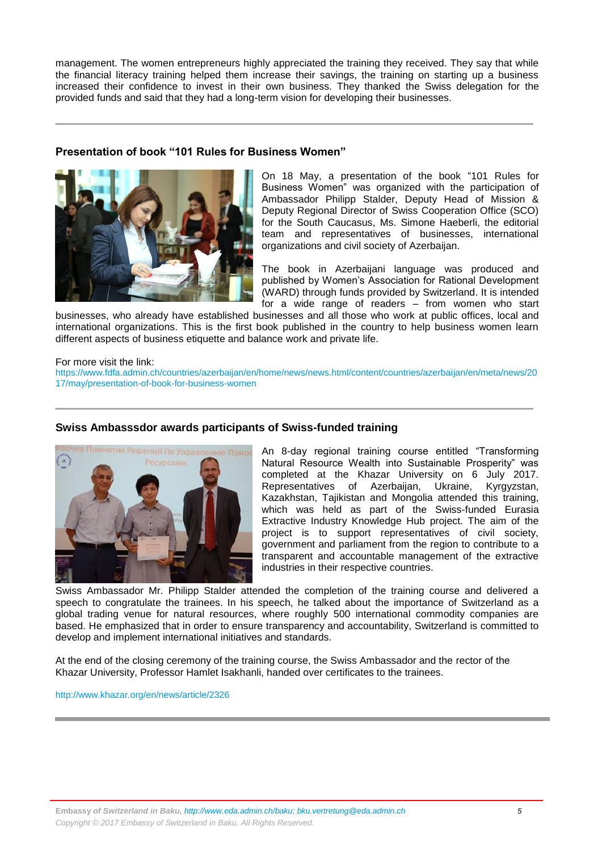management. The women entrepreneurs highly appreciated the training they received. They say that while the financial literacy training helped them increase their savings, the training on starting up a business increased their confidence to invest in their own business. They thanked the Swiss delegation for the provided funds and said that they had a long-term vision for developing their businesses.

#### **Presentation of book "101 Rules for Business Women"**



On 18 May, a presentation of the book "101 Rules for Business Women" was organized with the participation of Ambassador Philipp Stalder, Deputy Head of Mission & Deputy Regional Director of Swiss Cooperation Office (SCO) for the South Caucasus, Ms. Simone Haeberli, the editorial team and representatives of businesses, international organizations and civil society of Azerbaijan.

The book in Azerbaijani language was produced and published by Women's Association for Rational Development (WARD) through funds provided by Switzerland. It is intended for a wide range of readers – from women who start

businesses, who already have established businesses and all those who work at public offices, local and international organizations. This is the first book published in the country to help business women learn different aspects of business etiquette and balance work and private life.

#### For more visit the link:

[https://www.fdfa.admin.ch/countries/azerbaijan/en/home/news/news.html/content/countries/azerbaijan/en/meta/news/20](https://www.fdfa.admin.ch/countries/azerbaijan/en/home/news/news.html/content/countries/azerbaijan/en/meta/news/2017/may/presentation-of-book-for-business-women) [17/may/presentation-of-book-for-business-women](https://www.fdfa.admin.ch/countries/azerbaijan/en/home/news/news.html/content/countries/azerbaijan/en/meta/news/2017/may/presentation-of-book-for-business-women)

#### **Swiss Ambasssdor awards participants of Swiss-funded training**



An 8-day regional training course entitled "Transforming Natural Resource Wealth into Sustainable Prosperity" was completed at the Khazar University on 6 July 2017. Representatives of Azerbaijan, Ukraine, Kyrgyzstan, Kazakhstan, Tajikistan and Mongolia attended this training, which was held as part of the Swiss-funded Eurasia Extractive Industry Knowledge Hub project. The aim of the project is to support representatives of civil society, government and parliament from the region to contribute to a transparent and accountable management of the extractive industries in their respective countries.

Swiss Ambassador Mr. Philipp Stalder attended the completion of the training course and delivered a speech to congratulate the trainees. In his speech, he talked about the importance of Switzerland as a global trading venue for natural resources, where roughly 500 international commodity companies are based. He emphasized that in order to ensure transparency and accountability, Switzerland is committed to develop and implement international initiatives and standards.

At the end of the closing ceremony of the training course, the Swiss Ambassador and the rector of the Khazar University, Professor Hamlet Isakhanli, handed over certificates to the trainees.

<http://www.khazar.org/en/news/article/2326>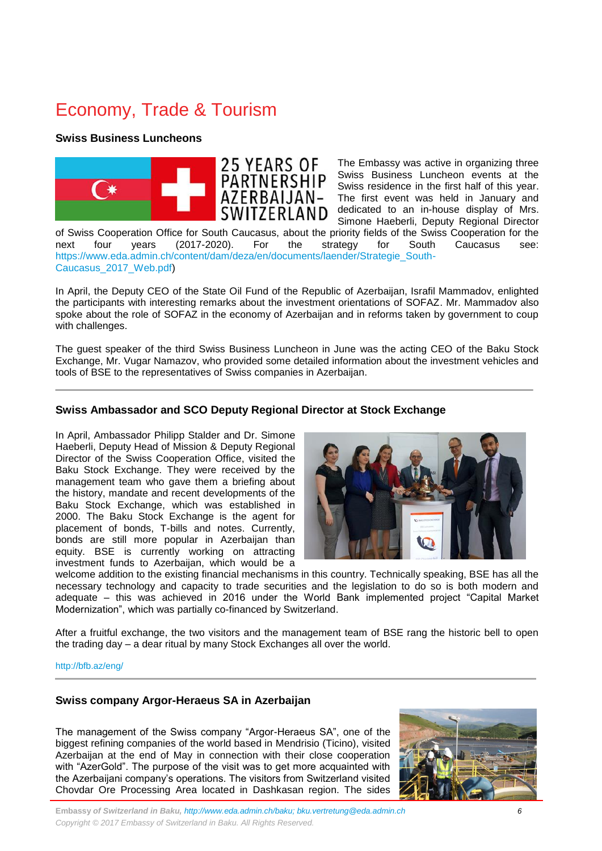# Economy, Trade & Tourism

#### **Swiss Business Luncheons**



The Embassy was active in organizing three Swiss Business Luncheon events at the Swiss residence in the first half of this year. The first event was held in January and dedicated to an in-house display of Mrs. Simone Haeberli, Deputy Regional Director

of Swiss Cooperation Office for South Caucasus, about the priority fields of the Swiss Cooperation for the next<br>next four vears (2017-2020). For the strategy for South Caucasus see: next four years (2017-2020). For the strategy for South Caucasus see: [https://www.eda.admin.ch/content/dam/deza/en/documents/laender/Strategie\\_South-](https://www.eda.admin.ch/content/dam/deza/en/documents/laender/Strategie_South-Caucasus_2017_Web.pdf)[Caucasus\\_2017\\_Web.pdf\)](https://www.eda.admin.ch/content/dam/deza/en/documents/laender/Strategie_South-Caucasus_2017_Web.pdf)

In April, the Deputy CEO of the State Oil Fund of the Republic of Azerbaijan, Israfil Mammadov, enlighted the participants with interesting remarks about the investment orientations of SOFAZ. Mr. Mammadov also spoke about the role of SOFAZ in the economy of Azerbaijan and in reforms taken by government to coup with challenges.

The guest speaker of the third Swiss Business Luncheon in June was the acting CEO of the Baku Stock Exchange, Mr. Vugar Namazov, who provided some detailed information about the investment vehicles and tools of BSE to the representatives of Swiss companies in Azerbaijan.

## **Swiss Ambassador and SCO Deputy Regional Director at Stock Exchange**

In April, Ambassador Philipp Stalder and Dr. Simone Haeberli, Deputy Head of Mission & Deputy Regional Director of the Swiss Cooperation Office, visited the Baku Stock Exchange. They were received by the management team who gave them a briefing about the history, mandate and recent developments of the Baku Stock Exchange, which was established in 2000. The Baku Stock Exchange is the agent for placement of bonds, T-bills and notes. Currently, bonds are still more popular in Azerbaijan than equity. BSE is currently working on attracting investment funds to Azerbaijan, which would be a



welcome addition to the existing financial mechanisms in this country. Technically speaking, BSE has all the necessary technology and capacity to trade securities and the legislation to do so is both modern and adequate – this was achieved in 2016 under the World Bank implemented project "Capital Market Modernization", which was partially co-financed by Switzerland.

After a fruitful exchange, the two visitors and the management team of BSE rang the historic bell to open the trading day – a dear ritual by many Stock Exchanges all over the world.

#### <http://bfb.az/eng/>

#### **Swiss company Argor-Heraeus SA in Azerbaijan**

The management of the Swiss company "Argor-Heraeus SA", one of the biggest refining companies of the world based in Mendrisio (Ticino), visited Azerbaijan at the end of May in connection with their close cooperation with "AzerGold". The purpose of the visit was to get more acquainted with the Azerbaijani company's operations. The visitors from Switzerland visited Chovdar Ore Processing Area located in Dashkasan region. The sides

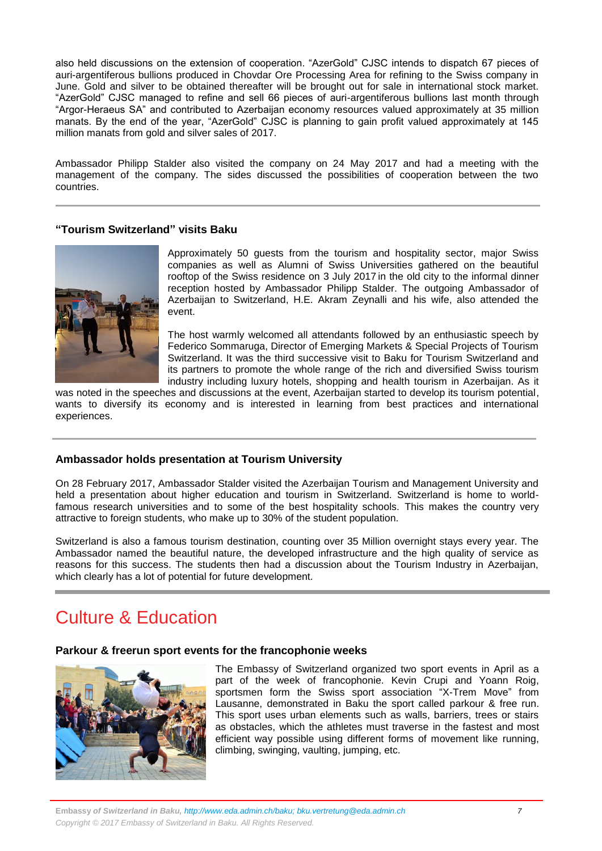also held discussions on the extension of cooperation. "AzerGold" CJSC intends to dispatch 67 pieces of auri-argentiferous bullions produced in Chovdar Ore Processing Area for refining to the Swiss company in June. Gold and silver to be obtained thereafter will be brought out for sale in international stock market. "AzerGold" CJSC managed to refine and sell 66 pieces of auri-argentiferous bullions last month through "Argor-Heraeus SA" and contributed to Azerbaijan economy resources valued approximately at 35 million manats. By the end of the year, "AzerGold" CJSC is planning to gain profit valued approximately at 145 million manats from gold and silver sales of 2017.

Ambassador Philipp Stalder also visited the company on 24 May 2017 and had a meeting with the management of the company. The sides discussed the possibilities of cooperation between the two countries.

#### **"Tourism Switzerland" visits Baku**



Approximately 50 guests from the tourism and hospitality sector, major Swiss companies as well as Alumni of Swiss Universities gathered on the beautiful rooftop of the Swiss residence on 3 July 2017 in the old city to the informal dinner reception hosted by Ambassador Philipp Stalder. The outgoing Ambassador of Azerbaijan to Switzerland, H.E. Akram Zeynalli and his wife, also attended the event.

The host warmly welcomed all attendants followed by an enthusiastic speech by Federico Sommaruga, Director of Emerging Markets & Special Projects of Tourism Switzerland. It was the third successive visit to Baku for Tourism Switzerland and its partners to promote the whole range of the rich and diversified Swiss tourism industry including luxury hotels, shopping and health tourism in Azerbaijan. As it

was noted in the speeches and discussions at the event, Azerbaijan started to develop its tourism potential, wants to diversify its economy and is interested in learning from best practices and international experiences.

## **Ambassador holds presentation at Tourism University**

On 28 February 2017, Ambassador Stalder visited the Azerbaijan Tourism and Management University and held a presentation about higher education and tourism in Switzerland. Switzerland is home to worldfamous research universities and to some of the best hospitality schools. This makes the country very attractive to foreign students, who make up to 30% of the student population.

Switzerland is also a famous tourism destination, counting over 35 Million overnight stays every year. The Ambassador named the beautiful nature, the developed infrastructure and the high quality of service as reasons for this success. The students then had a discussion about the Tourism Industry in Azerbaijan, which clearly has a lot of potential for future development.

# Culture & Education

#### **Parkour & freerun sport events for the francophonie weeks**



The Embassy of Switzerland organized two sport events in April as a part of the week of francophonie. Kevin Crupi and Yoann Roig, sportsmen form the Swiss sport association "X-Trem Move" from Lausanne, demonstrated in Baku the sport called parkour & free run. This sport uses urban elements such as walls, barriers, trees or stairs as obstacles, which the athletes must traverse in the fastest and most efficient way possible using different forms of movement like running, climbing, swinging, vaulting, jumping, etc.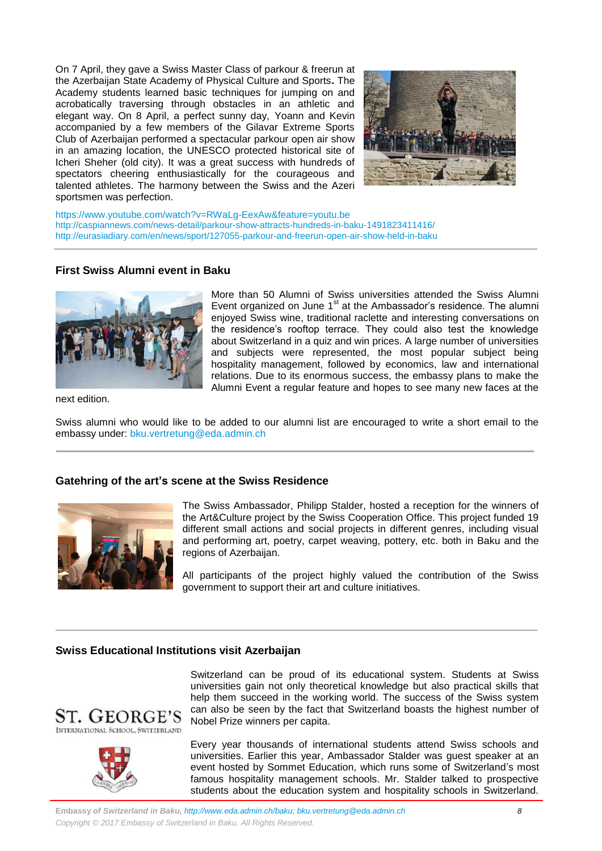On 7 April, they gave a Swiss Master Class of parkour & freerun at the Azerbaijan State Academy of Physical Culture and Sports**.** The Academy students learned basic techniques for jumping on and acrobatically traversing through obstacles in an athletic and elegant way. On 8 April, a perfect sunny day, Yoann and Kevin accompanied by a few members of the Gilavar Extreme Sports Club of Azerbaijan performed a spectacular parkour open air show in an amazing location, the UNESCO protected historical site of Icheri Sheher (old city). It was a great success with hundreds of spectators cheering enthusiastically for the courageous and talented athletes. The harmony between the Swiss and the Azeri sportsmen was perfection.



<https://www.youtube.com/watch?v=RWaLg-EexAw&feature=youtu.be> <http://caspiannews.com/news-detail/parkour-show-attracts-hundreds-in-baku-1491823411416/> <http://eurasiadiary.com/en/news/sport/127055-parkour-and-freerun-open-air-show-held-in-baku>

#### **First Swiss Alumni event in Baku**



More than 50 Alumni of Swiss universities attended the Swiss Alumni Event organized on June  $1<sup>st</sup>$  at the Ambassador's residence. The alumni enjoyed Swiss wine, traditional raclette and interesting conversations on the residence's rooftop terrace. They could also test the knowledge about Switzerland in a quiz and win prices. A large number of universities and subjects were represented, the most popular subject being hospitality management, followed by economics, law and international relations. Due to its enormous success, the embassy plans to make the Alumni Event a regular feature and hopes to see many new faces at the

next edition.

Swiss alumni who would like to be added to our alumni list are encouraged to write a short email to the embassy under: [bku.vertretung@eda.admin.ch](mailto:bku.vertretung@eda.admin.ch)

#### **Gatehring of the art's scene at the Swiss Residence**



The Swiss Ambassador, Philipp Stalder, hosted a reception for the winners of the Art&Culture project by the Swiss Cooperation Office. This project funded 19 different small actions and social projects in different genres, including visual and performing art, poetry, carpet weaving, pottery, etc. both in Baku and the regions of Azerbaijan.

All participants of the project highly valued the contribution of the Swiss government to support their art and culture initiatives.

#### **Swiss Educational Institutions visit Azerbaijan**





Switzerland can be proud of its educational system. Students at Swiss universities gain not only theoretical knowledge but also practical skills that help them succeed in the working world. The success of the Swiss system can also be seen by the fact that Switzerland boasts the highest number of Nobel Prize winners per capita.

Every year thousands of international students attend Swiss schools and universities. Earlier this year, Ambassador Stalder was guest speaker at an event hosted by Sommet Education, which runs some of Switzerland's most famous hospitality management schools. Mr. Stalder talked to prospective students about the education system and hospitality schools in Switzerland.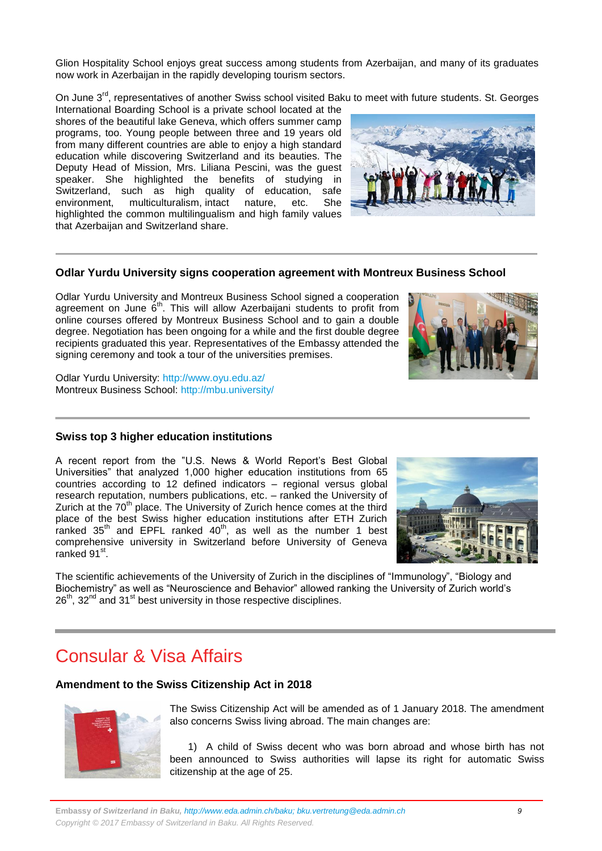Glion Hospitality School enjoys great success among students from Azerbaijan, and many of its graduates now work in Azerbaijan in the rapidly developing tourism sectors.

On June 3<sup>rd</sup>, representatives of another Swiss school visited Baku to meet with future students. St. Georges

International Boarding School is a private school located at the shores of the beautiful lake Geneva, which offers summer camp programs, too. Young people between three and 19 years old from many different countries are able to enjoy a high standard education while discovering Switzerland and its beauties. The Deputy Head of Mission, Mrs. Liliana Pescini, was the guest speaker. She highlighted the benefits of studying in Switzerland, such as high quality of education, safe environment, multiculturalism, intact nature, etc. She highlighted the common multilingualism and high family values that Azerbaijan and Switzerland share.



## **Odlar Yurdu University signs cooperation agreement with Montreux Business School**

Odlar Yurdu University and Montreux Business School signed a cooperation agreement on June 6<sup>th</sup>. This will allow Azerbaijani students to profit from online courses offered by Montreux Business School and to gain a double degree. Negotiation has been ongoing for a while and the first double degree recipients graduated this year. Representatives of the Embassy attended the signing ceremony and took a tour of the universities premises.

Odlar Yurdu University:<http://www.oyu.edu.az/> Montreux Business School:<http://mbu.university/>

#### **Swiss top 3 higher education institutions**

A recent report from the "U.S. News & World Report's Best Global Universities" that analyzed 1,000 higher education institutions from 65 countries according to 12 defined indicators – regional versus global research reputation, numbers publications, etc. – ranked the University of Zurich at the  $70<sup>th</sup>$  place. The University of Zurich hence comes at the third place of the best Swiss higher education institutions after ETH Zurich ranked  $35<sup>th</sup>$  and EPFL ranked  $40<sup>th</sup>$ , as well as the number 1 best comprehensive university in Switzerland before University of Geneva ranked 91<sup>st</sup>.

The scientific achievements of the University of Zurich in the disciplines of "Immunology", "Biology and Biochemistry" as well as "Neuroscience and Behavior" allowed ranking the University of Zurich world's  $26<sup>th</sup>$ ,  $32<sup>nd</sup>$  and  $31<sup>st</sup>$  best university in those respective disciplines.

# <span id="page-8-0"></span>Consular & Visa Affairs

## **Amendment to the Swiss Citizenship Act in 2018**



The Swiss Citizenship Act will be amended as of 1 January 2018. The amendment also concerns Swiss living abroad. The main changes are:

1) A child of Swiss decent who was born abroad and whose birth has not been announced to Swiss authorities will lapse its right for automatic Swiss citizenship at the age of 25.



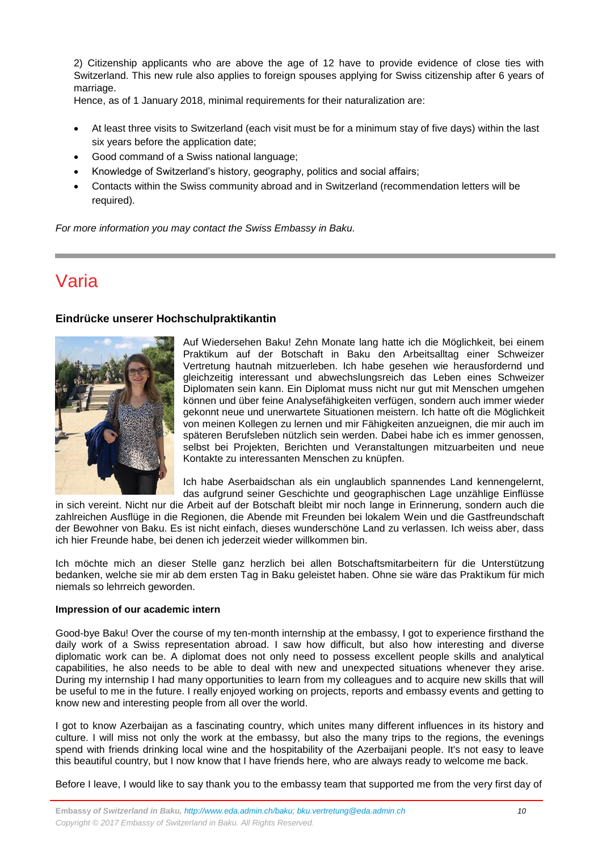2) Citizenship applicants who are above the age of 12 have to provide evidence of close ties with Switzerland. This new rule also applies to foreign spouses applying for Swiss citizenship after 6 years of marriage.

Hence, as of 1 January 2018, minimal requirements for their naturalization are:

- At least three visits to Switzerland (each visit must be for a minimum stay of five days) within the last six years before the application date;
- Good command of a Swiss national language;
- Knowledge of Switzerland's history, geography, politics and social affairs;
- Contacts within the Swiss community abroad and in Switzerland (recommendation letters will be required).

*For more information you may contact the Swiss Embassy in Baku.*

## <span id="page-9-0"></span>Varia

#### **Eindrücke unserer Hochschulpraktikantin**



Auf Wiedersehen Baku! Zehn Monate lang hatte ich die Möglichkeit, bei einem Praktikum auf der Botschaft in Baku den Arbeitsalltag einer Schweizer Vertretung hautnah mitzuerleben. Ich habe gesehen wie herausfordernd und gleichzeitig interessant und abwechslungsreich das Leben eines Schweizer Diplomaten sein kann. Ein Diplomat muss nicht nur gut mit Menschen umgehen können und über feine Analysefähigkeiten verfügen, sondern auch immer wieder gekonnt neue und unerwartete Situationen meistern. Ich hatte oft die Möglichkeit von meinen Kollegen zu lernen und mir Fähigkeiten anzueignen, die mir auch im späteren Berufsleben nützlich sein werden. Dabei habe ich es immer genossen, selbst bei Projekten, Berichten und Veranstaltungen mitzuarbeiten und neue Kontakte zu interessanten Menschen zu knüpfen.

Ich habe Aserbaidschan als ein unglaublich spannendes Land kennengelernt, das aufgrund seiner Geschichte und geographischen Lage unzählige Einflüsse

in sich vereint. Nicht nur die Arbeit auf der Botschaft bleibt mir noch lange in Erinnerung, sondern auch die zahlreichen Ausflüge in die Regionen, die Abende mit Freunden bei lokalem Wein und die Gastfreundschaft der Bewohner von Baku. Es ist nicht einfach, dieses wunderschöne Land zu verlassen. Ich weiss aber, dass ich hier Freunde habe, bei denen ich jederzeit wieder willkommen bin.

Ich möchte mich an dieser Stelle ganz herzlich bei allen Botschaftsmitarbeitern für die Unterstützung bedanken, welche sie mir ab dem ersten Tag in Baku geleistet haben. Ohne sie wäre das Praktikum für mich niemals so lehrreich geworden.

#### **Impression of our academic intern**

Good-bye Baku! Over the course of my ten-month internship at the embassy, I got to experience firsthand the daily work of a Swiss representation abroad. I saw how difficult, but also how interesting and diverse diplomatic work can be. A diplomat does not only need to possess excellent people skills and analytical capabilities, he also needs to be able to deal with new and unexpected situations whenever they arise. During my internship I had many opportunities to learn from my colleagues and to acquire new skills that will be useful to me in the future. I really enjoyed working on projects, reports and embassy events and getting to know new and interesting people from all over the world.

I got to know Azerbaijan as a fascinating country, which unites many different influences in its history and culture. I will miss not only the work at the embassy, but also the many trips to the regions, the evenings spend with friends drinking local wine and the hospitability of the Azerbaijani people. It's not easy to leave this beautiful country, but I now know that I have friends here, who are always ready to welcome me back.

Before I leave, I would like to say thank you to the embassy team that supported me from the very first day of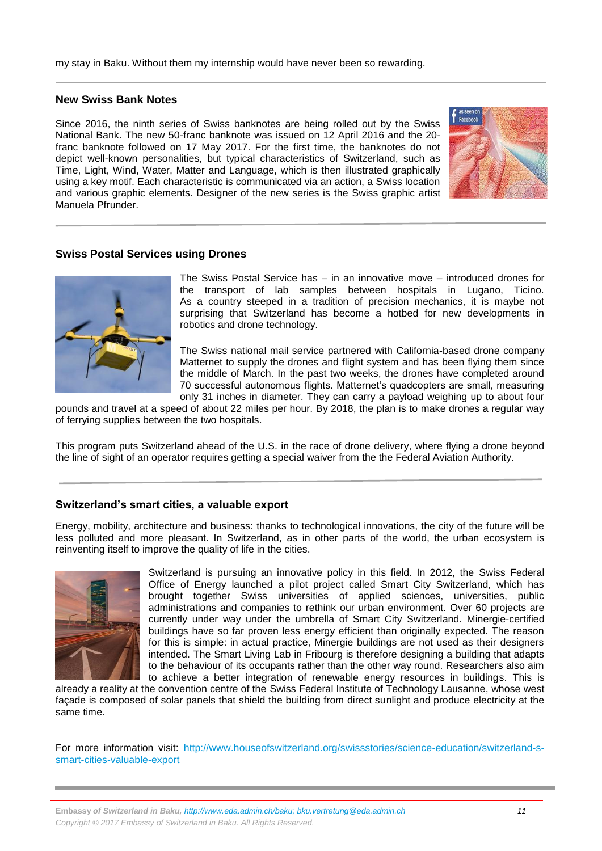#### **New Swiss Bank Notes**

Since 2016, the ninth series of Swiss banknotes are being rolled out by the Swiss National Bank. The new 50-franc banknote was issued on 12 April 2016 and the 20 franc banknote followed on 17 May 2017. For the first time, the banknotes do not depict well-known personalities, but typical characteristics of Switzerland, such as Time, Light, Wind, Water, Matter and Language, which is then illustrated graphically using a key motif. Each characteristic is communicated via an action, a Swiss location and various graphic elements. Designer of the new series is the Swiss graphic artist [Manuela Pfrunder.](http://mw.weaver.ch/f/link.aspx?1453FFC3263432E1D2E7A49321737783F321D317B4A661FDF4)



#### **Swiss Postal Services using Drones**



The Swiss Postal Service has – in an innovative move – introduced drones for the transport of lab samples between hospitals in Lugano, Ticino. As a country steeped in a tradition of [precision mechanics,](http://mw.weaver.ch/f/link.aspx?189FCB8FE7487EBC9EB8B8DF1CFF58674FEC9FD8C8E525C9C5) it is maybe not surprising that Switzerland has become a hotbed for new developments in [robotics a](http://mw.weaver.ch/f/link.aspx?1232EB8DCA7211DC9C9BE2723CBDFB91D21C9DBBF2872EE9A8)nd [drone technology.](http://mw.weaver.ch/f/link.aspx?189A7EB322E8796FC2E368DABFE353274A9FC31378E9057CFF)

The Swiss national mail service partnered with California-based drone company Matternet to supply the drones and flight system and has been flying them since the middle of March. In the past two weeks, the drones have completed around 70 successful autonomous flights. Matternet's quadcopters are small, measuring only 31 inches in diameter. They can carry a payload weighing up to about four

pounds and travel at a speed of about 22 miles per hour. By 2018, the plan is to make drones a regular way of ferrying supplies between the two hospitals.

This program puts Switzerland ahead of the U.S. in the race of [drone delivery,](https://www.recode.net/2016/10/3/13141262/drone-delivery-uk-leads-us) where flying a drone beyond the line of sight of an operator requires getting a special waiver from the the Federal Aviation Authority.

#### **Switzerland's smart cities, a valuable export**

Energy, mobility, architecture and business: thanks to technological innovations, the city of the future will be less polluted and more pleasant. In Switzerland, as in other parts of the world, the urban ecosystem is reinventing itself to improve the quality of life in the cities.



Switzerland is pursuing an innovative policy in this field. In 2012, the [Swiss Federal](http://www.bfe.admin.ch/index.html?lang=en)  [Office of Energy](http://www.bfe.admin.ch/index.html?lang=en) launched a pilot project called Smart City Switzerland, which has brought together Swiss universities of applied sciences, universities, public administrations and companies to rethink our urban environment. Over 60 projects are currently under way under the umbrella of [Smart City Switzerland.](http://www.smartcity-suisse.ch/en/) Minergie-certified buildings have so far proven less energy efficient than originally expected. The reason for this is simple: in actual practice, Minergie buildings are not used as their designers intended. The [Smart Living Lab](http://www.smartlivinglab.ch/index.php/en/) in Fribourg is therefore designing a building that adapts to the behaviour of its occupants rather than the other way round. Researchers also aim to achieve a better integration of renewable energy resources in buildings. This is

already a reality at the convention centre of the [Swiss Federal Institute of Technology Lausanne,](https://www.epfl.ch/index.en.html) whose west façade is composed of solar panels that shield the building from direct sunlight and produce electricity at the same time.

For more information visit: [http://www.houseofswitzerland.org/swissstories/science-education/switzerland-s](http://www.houseofswitzerland.org/swissstories/science-education/switzerland-s-smart-cities-valuable-export)[smart-cities-valuable-export](http://www.houseofswitzerland.org/swissstories/science-education/switzerland-s-smart-cities-valuable-export)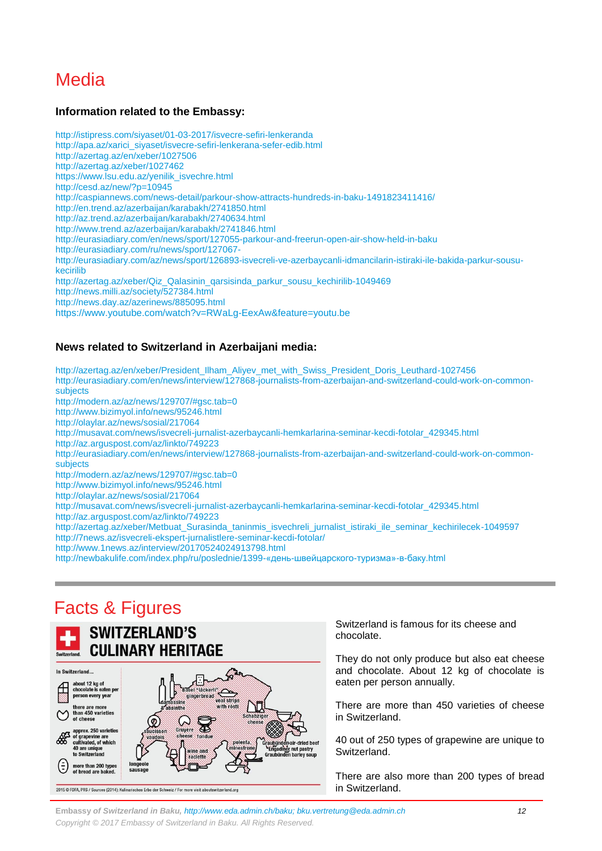# <span id="page-11-0"></span>Media

#### **Information related to the Embassy:**

<http://istipress.com/siyaset/01-03-2017/isvecre-sefiri-lenkeranda> [http://apa.az/xarici\\_siyaset/isvecre-sefiri-lenkerana-sefer-edib.html](http://apa.az/xarici_siyaset/isvecre-sefiri-lenkerana-sefer-edib.html) <http://azertag.az/en/xeber/1027506> <http://azertag.az/xeber/1027462> [https://www.lsu.edu.az/yenilik\\_isvechre.html](https://www.lsu.edu.az/yenilik_isvechre.html) <http://cesd.az/new/?p=10945> <http://caspiannews.com/news-detail/parkour-show-attracts-hundreds-in-baku-1491823411416/> <http://en.trend.az/azerbaijan/karabakh/2741850.html> <http://az.trend.az/azerbaijan/karabakh/2740634.html> <http://www.trend.az/azerbaijan/karabakh/2741846.html> <http://eurasiadiary.com/en/news/sport/127055-parkour-and-freerun-open-air-show-held-in-baku> [http://eurasiadiary.com/ru/news/sport/127067](http://eurasiadiary.com/ru/news/sport/127067-) [http://eurasiadiary.com/az/news/sport/126893-isvecreli-ve-azerbaycanli-idmancilarin-istiraki-ile-bakida-parkur-sousu](http://eurasiadiary.com/az/news/sport/126893-isvecreli-ve-azerbaycanli-idmancilarin-istiraki-ile-bakida-parkur-sousu-kecirilib)[kecirilib](http://eurasiadiary.com/az/news/sport/126893-isvecreli-ve-azerbaycanli-idmancilarin-istiraki-ile-bakida-parkur-sousu-kecirilib) [http://azertag.az/xeber/Qiz\\_Qalasinin\\_qarsisinda\\_parkur\\_sousu\\_kechirilib-1049469](http://azertag.az/xeber/Qiz_Qalasinin_qarsisinda_parkur_sousu_kechirilib-1049469) <http://news.milli.az/society/527384.html> <http://news.day.az/azerinews/885095.html> <https://www.youtube.com/watch?v=RWaLg-EexAw&feature=youtu.be>

#### **News related to Switzerland in Azerbaijani media:**

[http://azertag.az/en/xeber/President\\_Ilham\\_Aliyev\\_met\\_with\\_Swiss\\_President\\_Doris\\_Leuthard-1027456](http://azertag.az/en/xeber/President_Ilham_Aliyev_met_with_Swiss_President_Doris_Leuthard-1027456) [http://eurasiadiary.com/en/news/interview/127868-journalists-from-azerbaijan-and-switzerland-could-work-on-common](http://eurasiadiary.com/en/news/interview/127868-journalists-from-azerbaijan-and-switzerland-could-work-on-common-subjects)[subjects](http://eurasiadiary.com/en/news/interview/127868-journalists-from-azerbaijan-and-switzerland-could-work-on-common-subjects) <http://modern.az/az/news/129707/#gsc.tab=0> <http://www.bizimyol.info/news/95246.html> <http://olaylar.az/news/sosial/217064> [http://musavat.com/news/isvecreli-jurnalist-azerbaycanli-hemkarlarina-seminar-kecdi-fotolar\\_429345.html](http://musavat.com/news/isvecreli-jurnalist-azerbaycanli-hemkarlarina-seminar-kecdi-fotolar_429345.html) <http://az.arguspost.com/az/linkto/749223> [http://eurasiadiary.com/en/news/interview/127868-journalists-from-azerbaijan-and-switzerland-could-work-on-common](http://eurasiadiary.com/en/news/interview/127868-journalists-from-azerbaijan-and-switzerland-could-work-on-common-subjects)[subjects](http://eurasiadiary.com/en/news/interview/127868-journalists-from-azerbaijan-and-switzerland-could-work-on-common-subjects) <http://modern.az/az/news/129707/#gsc.tab=0> <http://www.bizimyol.info/news/95246.html> <http://olaylar.az/news/sosial/217064> [http://musavat.com/news/isvecreli-jurnalist-azerbaycanli-hemkarlarina-seminar-kecdi-fotolar\\_429345.html](http://musavat.com/news/isvecreli-jurnalist-azerbaycanli-hemkarlarina-seminar-kecdi-fotolar_429345.html) <http://az.arguspost.com/az/linkto/749223> [http://azertag.az/xeber/Metbuat\\_Surasinda\\_taninmis\\_isvechreli\\_jurnalist\\_istiraki\\_ile\\_seminar\\_kechirilecek-1049597](http://azertag.az/xeber/Metbuat_Surasinda_taninmis_isvechreli_jurnalist_istiraki_ile_seminar_kechirilecek-1049597) <http://7news.az/isvecreli-ekspert-jurnalistlere-seminar-kecdi-fotolar/>

<http://www.1news.az/interview/20170524024913798.html>

[http://newbakulife.com/index.php/ru/poslednie/1399-«день-швейцарского-туризма»-в-баку.html](http://newbakulife.com/index.php/ru/poslednie/1399-)

## Facts & Figures



Switzerland is famous for its cheese and chocolate.

They do not only produce but also eat cheese and chocolate. About 12 kg of chocolate is eaten per person annually.

There are more than 450 varieties of cheese in Switzerland.

40 out of 250 types of grapewine are unique to Switzerland.

There are also more than 200 types of bread in Switzerland.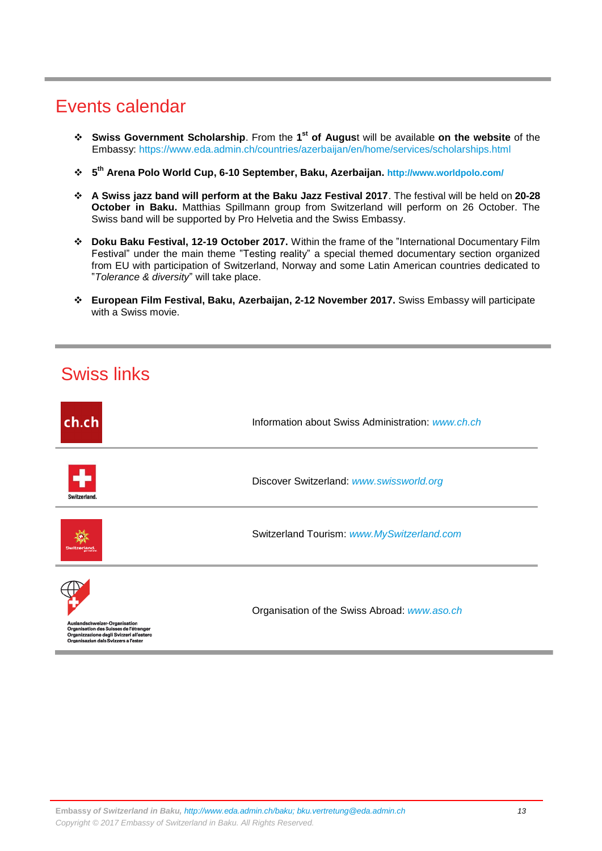## Events calendar

- **Swiss Government Scholarship**. From the 1<sup>st</sup> of August will be available on the website of the Embassy:<https://www.eda.admin.ch/countries/azerbaijan/en/home/services/scholarships.html>
- **5 th Arena Polo World Cup, 6-10 September, Baku, Azerbaijan. <http://www.worldpolo.com/>**
- **A Swiss jazz band will perform at the Baku Jazz Festival 2017**. The festival will be held on **20-28 October in Baku.** Matthias Spillmann group from Switzerland will perform on 26 October. The Swiss band will be supported by Pro Helvetia and the Swiss Embassy.
- **Doku Baku Festival, 12-19 October 2017.** Within the frame of the "International Documentary Film Festival" under the main theme "Testing reality" a special themed documentary section organized from EU with participation of Switzerland, Norway and some Latin American countries dedicated to "*Tolerance & diversity*" will take place.
- **European Film Festival, Baku, Azerbaijan, 2-12 November 2017.** Swiss Embassy will participate with a Swiss movie.

## <span id="page-12-0"></span>Swiss links